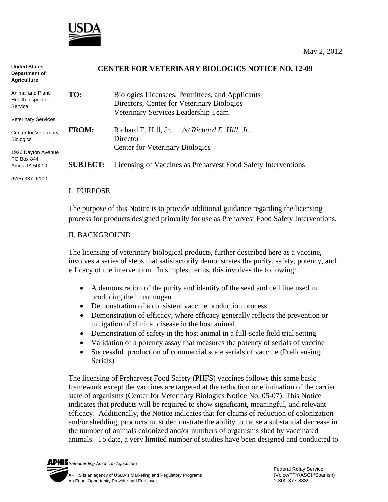

| <b>United States</b><br>Department of<br><b>Agriculture</b> | <b>CENTER FOR VETERINARY BIOLOGICS NOTICE NO. 12-09</b> |                                                                     |
|-------------------------------------------------------------|---------------------------------------------------------|---------------------------------------------------------------------|
| Animal and Plant<br>Health Inspection                       | TO:                                                     | Biologics Licensees, Permittees, and Applicants                     |
| Service                                                     |                                                         | Directors, Center for Veterinary Biologics                          |
|                                                             |                                                         | Veterinary Services Leadership Team                                 |
| <b>Veterinary Services</b>                                  |                                                         |                                                                     |
| Center for Veterinary<br><b>Biologics</b>                   | <b>FROM:</b>                                            | Richard E. Hill, Jr. $\frac{1}{s}$ Richard E. Hill, Jr.<br>Director |
|                                                             |                                                         | <b>Center for Veterinary Biologics</b>                              |
| 1920 Dayton Avenue                                          |                                                         |                                                                     |
| PO Box 844<br>Ames, IA 50010                                | <b>SUBJECT:</b>                                         | Licensing of Vaccines as Preharvest Food Safety Interventions       |
|                                                             |                                                         |                                                                     |

(515) 337- 6100

#### I. PURPOSE

The purpose of this Notice is to provide additional guidance regarding the licensing process for products designed primarily for use as Preharvest Food Safety Interventions.

#### II. BACKGROUND

The licensing of veterinary biological products, further described here as a vaccine, involves a series of steps that satisfactorily demonstrates the purity, safety, potency, and efficacy of the intervention. In simplest terms, this involves the following:

- A demonstration of the purity and identity of the seed and cell line used in producing the immunogen
- Demonstration of a consistent vaccine production process
- Demonstration of efficacy, where efficacy generally reflects the prevention or mitigation of clinical disease in the host animal
- Demonstration of safety in the host animal in a full-scale field trial setting
- Validation of a potency assay that measures the potency of serials of vaccine
- Successful production of commercial scale serials of vaccine (Prelicensing Serials)

The licensing of Preharvest Food Safety (PHFS) vaccines follows this same basic framework except the vaccines are targeted at the reduction or elimination of the carrier state of organisms (Center for Veterinary Biologics Notice No. 05-07). This Notice indicates that products will be required to show significant, meaningful, and relevant efficacy. Additionally, the Notice indicates that for claims of reduction of colonization and/or shedding, products must demonstrate the ability to cause a substantial decrease in the number of animals colonized and/or numbers of organisms shed by vaccinated animals. To date, a very limited number of studies have been designed and conducted to

*Safeguarding American Agriculture*  APHIS is an agency of USDA's Marketing and Regulatory Programs(Voice/TTY/ASCII/Spanish) An Equal Opportunity Provider and Employer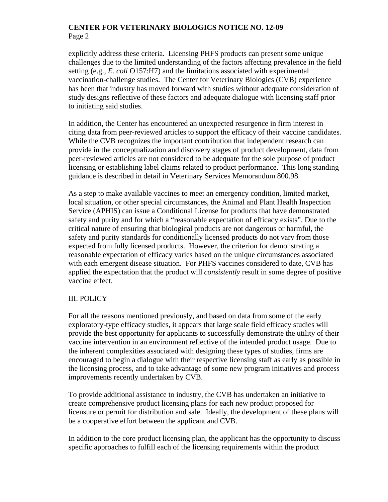## **CENTER FOR VETERINARY BIOLOGICS NOTICE NO. 12-09**  Page 2

explicitly address these criteria. Licensing PHFS products can present some unique challenges due to the limited understanding of the factors affecting prevalence in the field setting (e.g., *E. coli* O157:H7) and the limitations associated with experimental vaccination-challenge studies. The Center for Veterinary Biologics (CVB) experience has been that industry has moved forward with studies without adequate consideration of study designs reflective of these factors and adequate dialogue with licensing staff prior to initiating said studies.

In addition, the Center has encountered an unexpected resurgence in firm interest in citing data from peer-reviewed articles to support the efficacy of their vaccine candidates. While the CVB recognizes the important contribution that independent research can provide in the conceptualization and discovery stages of product development, data from peer-reviewed articles are not considered to be adequate for the sole purpose of product licensing or establishing label claims related to product performance. This long standing guidance is described in detail in Veterinary Services Memorandum 800.98.

As a step to make available vaccines to meet an emergency condition, limited market, local situation, or other special circumstances, the Animal and Plant Health Inspection Service (APHIS) can issue a Conditional License for products that have demonstrated safety and purity and for which a "reasonable expectation of efficacy exists". Due to the critical nature of ensuring that biological products are not dangerous or harmful, the safety and purity standards for conditionally licensed products do not vary from those expected from fully licensed products. However, the criterion for demonstrating a reasonable expectation of efficacy varies based on the unique circumstances associated with each emergent disease situation. For PHFS vaccines considered to date, CVB has applied the expectation that the product will *consistently* result in some degree of positive vaccine effect.

# III. POLICY

For all the reasons mentioned previously, and based on data from some of the early exploratory-type efficacy studies, it appears that large scale field efficacy studies will provide the best opportunity for applicants to successfully demonstrate the utility of their vaccine intervention in an environment reflective of the intended product usage. Due to the inherent complexities associated with designing these types of studies, firms are encouraged to begin a dialogue with their respective licensing staff as early as possible in the licensing process, and to take advantage of some new program initiatives and process improvements recently undertaken by CVB.

To provide additional assistance to industry, the CVB has undertaken an initiative to create comprehensive product licensing plans for each new product proposed for licensure or permit for distribution and sale. Ideally, the development of these plans will be a cooperative effort between the applicant and CVB.

In addition to the core product licensing plan, the applicant has the opportunity to discuss specific approaches to fulfill each of the licensing requirements within the product